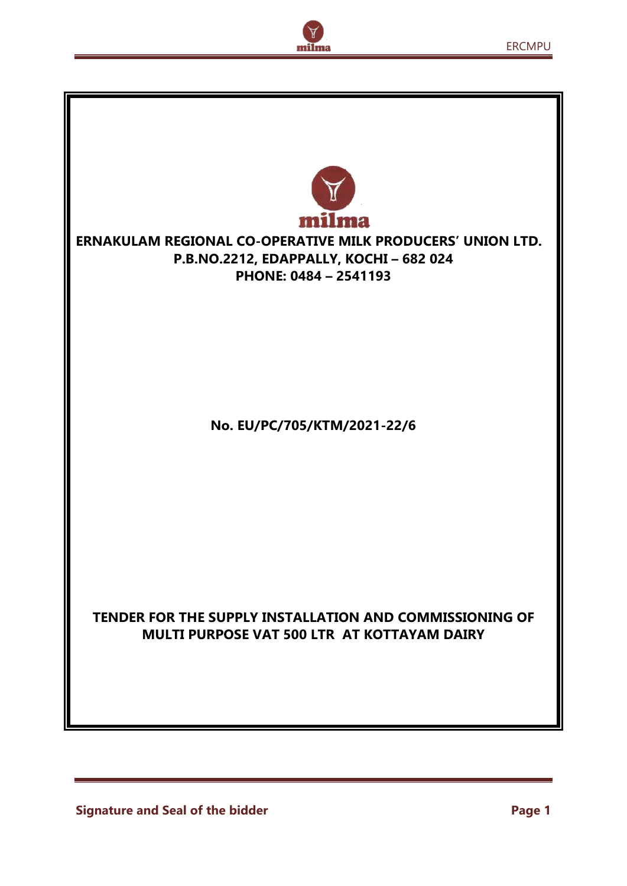

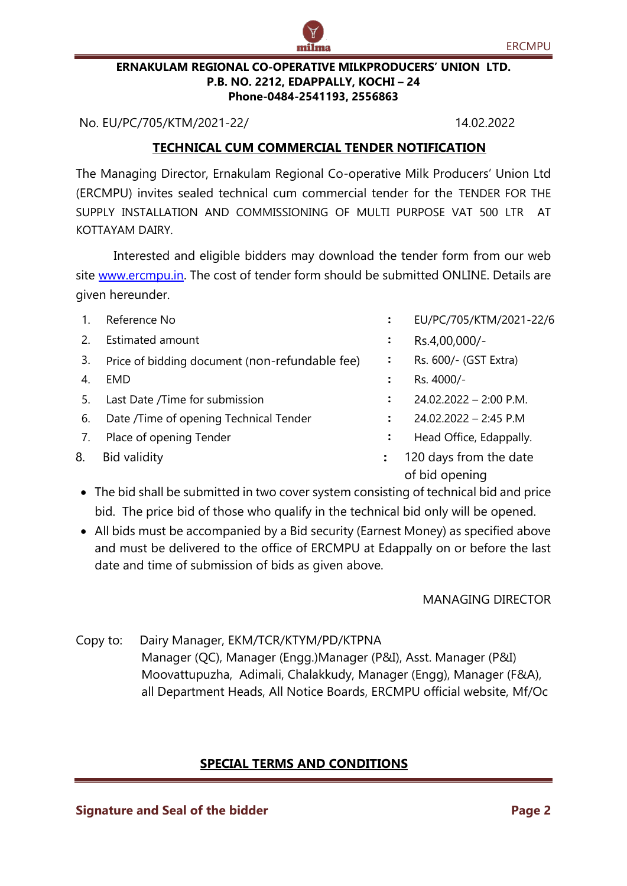#### **ERNAKULAM REGIONAL CO-OPERATIVE MILKPRODUCERS' UNION LTD. P.B. NO. 2212, EDAPPALLY, KOCHI – 24 Phone-0484-2541193, 2556863**

No. EU/PC/705/KTM/2021-22/ 14.02.2022

## **TECHNICAL CUM COMMERCIAL TENDER NOTIFICATION**

The Managing Director, Ernakulam Regional Co-operative Milk Producers' Union Ltd (ERCMPU) invites sealed technical cum commercial tender for the TENDER FOR THE SUPPLY INSTALLATION AND COMMISSIONING OF MULTI PURPOSE VAT 500 LTR AT KOTTAYAM DAIRY.

Interested and eligible bidders may download the tender form from our web site [www.ercmpu.in.](http://www.ercmpu.in/) The cost of tender form should be submitted ONLINE. Details are given hereunder.

| 1. | Reference No                                   |                | EU/PC/705/KTM/2021-22/6                  |
|----|------------------------------------------------|----------------|------------------------------------------|
| 2. | <b>Estimated amount</b>                        | $\ddot{\cdot}$ | Rs.4,00,000/-                            |
| 3. | Price of bidding document (non-refundable fee) | :              | Rs. 600/- (GST Extra)                    |
| 4. | EMD                                            |                | Rs. 4000/-                               |
| 5. | Last Date /Time for submission                 |                | $24.02.2022 - 2:00$ P.M.                 |
| 6. | Date /Time of opening Technical Tender         |                | $24.02.2022 - 2:45$ P.M                  |
| 7. | Place of opening Tender                        | $\ddot{\cdot}$ | Head Office, Edappally.                  |
| 8. | <b>Bid validity</b>                            | $\ddot{\cdot}$ | 120 days from the date<br>of bid opening |
|    |                                                |                |                                          |

- The bid shall be submitted in two cover system consisting of technical bid and price bid. The price bid of those who qualify in the technical bid only will be opened.
- All bids must be accompanied by a Bid security (Earnest Money) as specified above and must be delivered to the office of ERCMPU at Edappally on or before the last date and time of submission of bids as given above.

MANAGING DIRECTOR

Copy to: Dairy Manager, EKM/TCR/KTYM/PD/KTPNA Manager (QC), Manager (Engg.)Manager (P&I), Asst. Manager (P&I) Moovattupuzha, Adimali, Chalakkudy, Manager (Engg), Manager (F&A), all Department Heads, All Notice Boards, ERCMPU official website, Mf/Oc

## **SPECIAL TERMS AND CONDITIONS**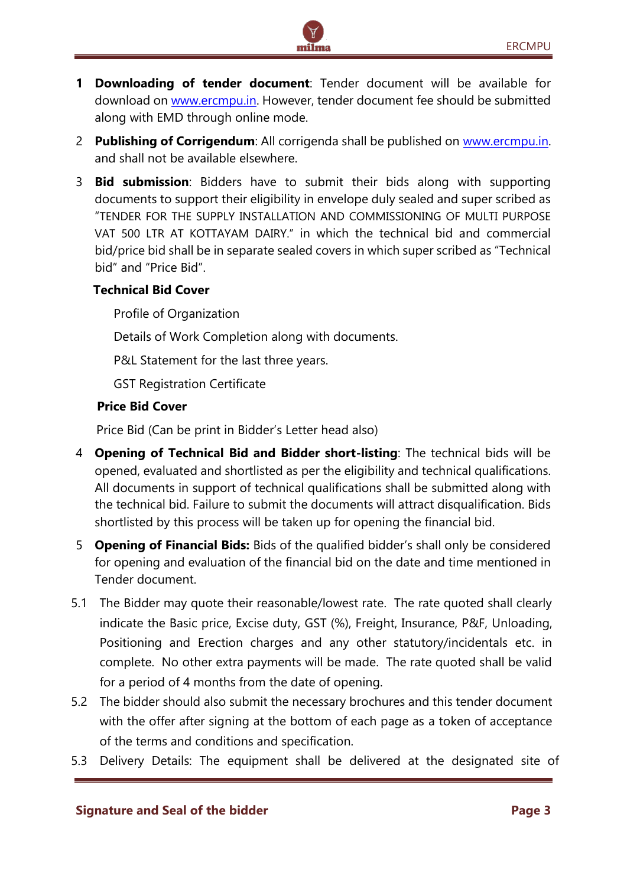**1 Downloading of tender document**: Tender document will be available for download on [www.ercmpu.in.](http://www.ercmpu.in/) However, tender document fee should be submitted along with EMD through online mode.

milma

- 2 **Publishing of Corrigendum**: All corrigenda shall be published on [www.ercmpu.in.](http://www.ercmpu.in/) and shall not be available elsewhere.
- 3 **Bid submission**: Bidders have to submit their bids along with supporting documents to support their eligibility in envelope duly sealed and super scribed as "TENDER FOR THE SUPPLY INSTALLATION AND COMMISSIONING OF MULTI PURPOSE VAT 500 LTR AT KOTTAYAM DAIRY." in which the technical bid and commercial bid/price bid shall be in separate sealed covers in which super scribed as "Technical bid" and "Price Bid".

## **Technical Bid Cover**

Profile of Organization

Details of Work Completion along with documents.

P&L Statement for the last three years.

GST Registration Certificate

## **Price Bid Cover**

Price Bid (Can be print in Bidder's Letter head also)

- 4 **Opening of Technical Bid and Bidder short-listing**: The technical bids will be opened, evaluated and shortlisted as per the eligibility and technical qualifications. All documents in support of technical qualifications shall be submitted along with the technical bid. Failure to submit the documents will attract disqualification. Bids shortlisted by this process will be taken up for opening the financial bid.
- 5 **Opening of Financial Bids:** Bids of the qualified bidder's shall only be considered for opening and evaluation of the financial bid on the date and time mentioned in Tender document.
- 5.1 The Bidder may quote their reasonable/lowest rate. The rate quoted shall clearly indicate the Basic price, Excise duty, GST (%), Freight, Insurance, P&F, Unloading, Positioning and Erection charges and any other statutory/incidentals etc. in complete. No other extra payments will be made. The rate quoted shall be valid for a period of 4 months from the date of opening.
- 5.2 The bidder should also submit the necessary brochures and this tender document with the offer after signing at the bottom of each page as a token of acceptance of the terms and conditions and specification.
- 5.3 Delivery Details: The equipment shall be delivered at the designated site of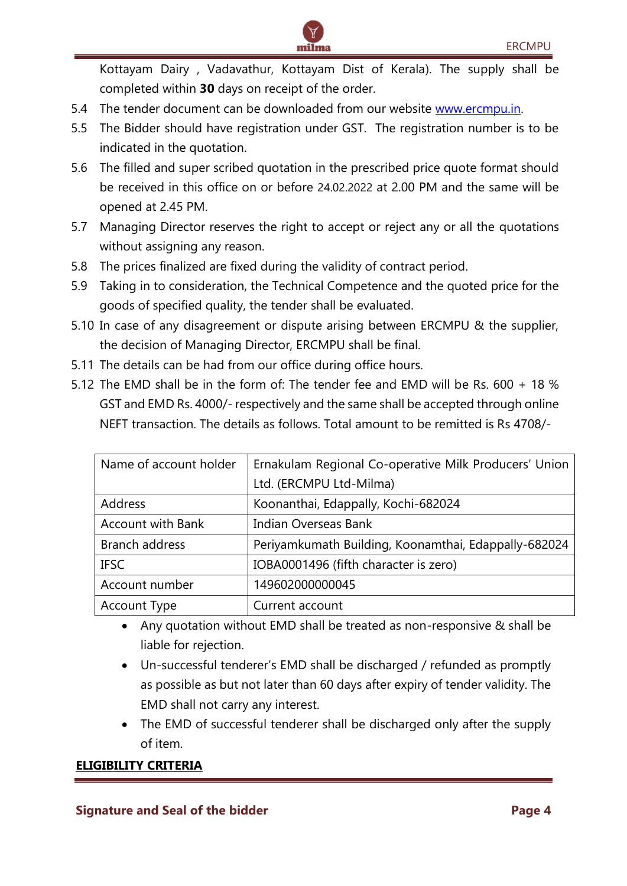Kottayam Dairy , Vadavathur, Kottayam Dist of Kerala). The supply shall be completed within **30** days on receipt of the order.

- 5.4 The tender document can be downloaded from our website [www.ercmpu.in.](http://www.ercmpu.in/)
- 5.5 The Bidder should have registration under GST. The registration number is to be indicated in the quotation.

milma

- 5.6 The filled and super scribed quotation in the prescribed price quote format should be received in this office on or before 24.02.2022 at 2.00 PM and the same will be opened at 2.45 PM.
- 5.7 Managing Director reserves the right to accept or reject any or all the quotations without assigning any reason.
- 5.8 The prices finalized are fixed during the validity of contract period.
- 5.9 Taking in to consideration, the Technical Competence and the quoted price for the goods of specified quality, the tender shall be evaluated.
- 5.10 In case of any disagreement or dispute arising between ERCMPU & the supplier, the decision of Managing Director, ERCMPU shall be final.
- 5.11 The details can be had from our office during office hours.
- 5.12 The EMD shall be in the form of: The tender fee and EMD will be Rs. 600 + 18 % GST and EMD Rs. 4000/- respectively and the same shall be accepted through online NEFT transaction. The details as follows. Total amount to be remitted is Rs 4708/-

| Name of account holder   | Ernakulam Regional Co-operative Milk Producers' Union |  |  |  |
|--------------------------|-------------------------------------------------------|--|--|--|
|                          | Ltd. (ERCMPU Ltd-Milma)                               |  |  |  |
| Address                  | Koonanthai, Edappally, Kochi-682024                   |  |  |  |
| <b>Account with Bank</b> | Indian Overseas Bank                                  |  |  |  |
| Branch address           | Periyamkumath Building, Koonamthai, Edappally-682024  |  |  |  |
| <b>IFSC</b>              | IOBA0001496 (fifth character is zero)                 |  |  |  |
| Account number           | 149602000000045                                       |  |  |  |
| Account Type             | Current account                                       |  |  |  |

- Any quotation without EMD shall be treated as non-responsive & shall be liable for rejection.
- Un-successful tenderer's EMD shall be discharged / refunded as promptly as possible as but not later than 60 days after expiry of tender validity. The EMD shall not carry any interest.
- The EMD of successful tenderer shall be discharged only after the supply of item.

## **ELIGIBILITY CRITERIA**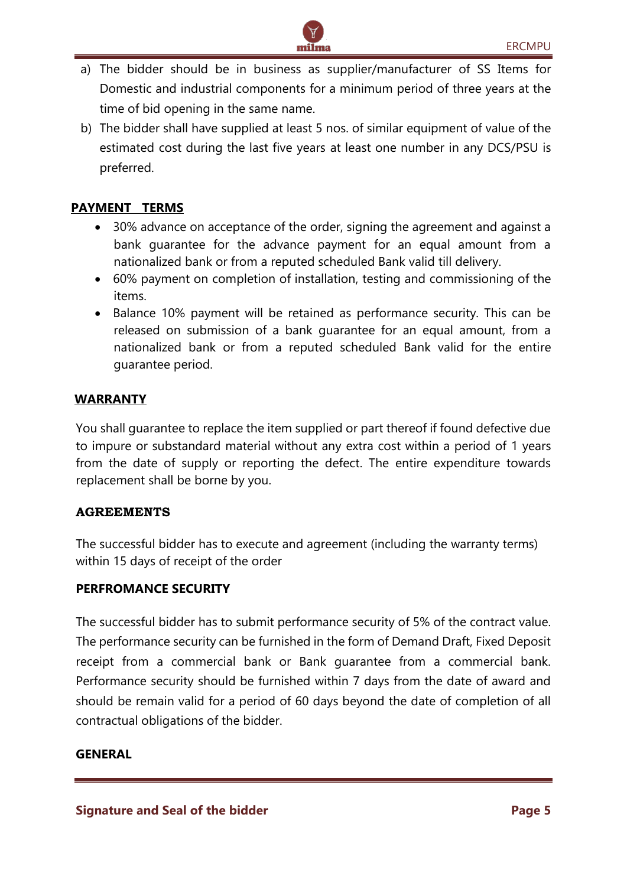a) The bidder should be in business as supplier/manufacturer of SS Items for Domestic and industrial components for a minimum period of three years at the time of bid opening in the same name.

milma

b) The bidder shall have supplied at least 5 nos. of similar equipment of value of the estimated cost during the last five years at least one number in any DCS/PSU is preferred.

## **PAYMENT TERMS**

- 30% advance on acceptance of the order, signing the agreement and against a bank guarantee for the advance payment for an equal amount from a nationalized bank or from a reputed scheduled Bank valid till delivery.
- 60% payment on completion of installation, testing and commissioning of the items.
- Balance 10% payment will be retained as performance security. This can be released on submission of a bank guarantee for an equal amount, from a nationalized bank or from a reputed scheduled Bank valid for the entire guarantee period.

## **WARRANTY**

You shall guarantee to replace the item supplied or part thereof if found defective due to impure or substandard material without any extra cost within a period of 1 years from the date of supply or reporting the defect. The entire expenditure towards replacement shall be borne by you.

#### **AGREEMENTS**

The successful bidder has to execute and agreement (including the warranty terms) within 15 days of receipt of the order

#### **PERFROMANCE SECURITY**

The successful bidder has to submit performance security of 5% of the contract value. The performance security can be furnished in the form of Demand Draft, Fixed Deposit receipt from a commercial bank or Bank guarantee from a commercial bank. Performance security should be furnished within 7 days from the date of award and should be remain valid for a period of 60 days beyond the date of completion of all contractual obligations of the bidder.

#### **GENERAL**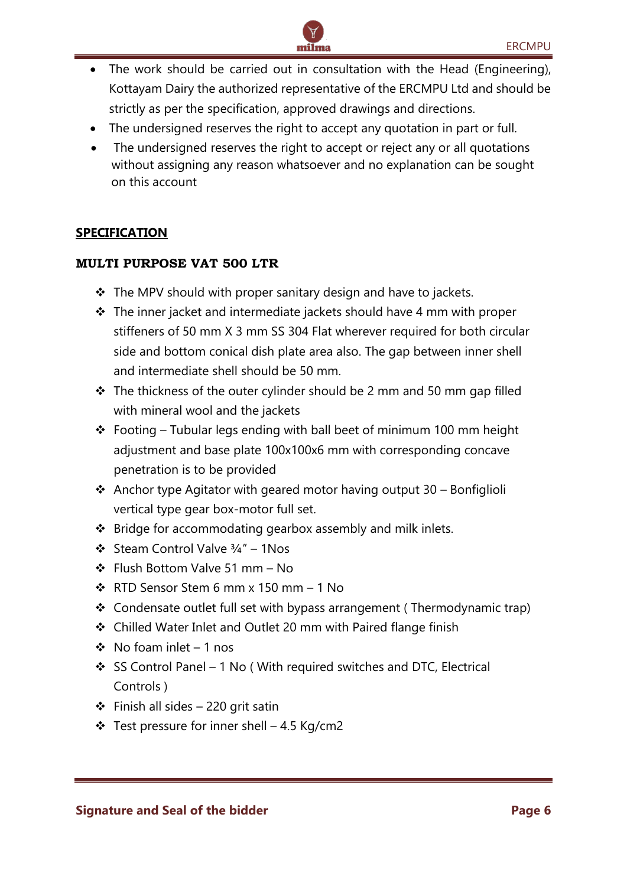The work should be carried out in consultation with the Head (Engineering), Kottayam Dairy the authorized representative of the ERCMPU Ltd and should be strictly as per the specification, approved drawings and directions.

milma

- The undersigned reserves the right to accept any quotation in part or full.
- The undersigned reserves the right to accept or reject any or all quotations without assigning any reason whatsoever and no explanation can be sought on this account

## **SPECIFICATION**

#### **MULTI PURPOSE VAT 500 LTR**

- ❖ The MPV should with proper sanitary design and have to jackets.
- ❖ The inner jacket and intermediate jackets should have 4 mm with proper stiffeners of 50 mm X 3 mm SS 304 Flat wherever required for both circular side and bottom conical dish plate area also. The gap between inner shell and intermediate shell should be 50 mm.
- ❖ The thickness of the outer cylinder should be 2 mm and 50 mm gap filled with mineral wool and the jackets
- ❖ Footing Tubular legs ending with ball beet of minimum 100 mm height adjustment and base plate 100x100x6 mm with corresponding concave penetration is to be provided
- $\cdot$  Anchor type Agitator with geared motor having output 30 Bonfiglioli vertical type gear box-motor full set.
- ❖ Bridge for accommodating gearbox assembly and milk inlets.
- ❖ Steam Control Valve ¾" 1Nos
- ❖ Flush Bottom Valve 51 mm No
- ❖ RTD Sensor Stem 6 mm x 150 mm 1 No
- ❖ Condensate outlet full set with bypass arrangement ( Thermodynamic trap)
- ❖ Chilled Water Inlet and Outlet 20 mm with Paired flange finish
- ❖ No foam inlet 1 nos
- ❖ SS Control Panel 1 No ( With required switches and DTC, Electrical Controls )
- ❖ Finish all sides 220 grit satin
- ❖ Test pressure for inner shell 4.5 Kg/cm2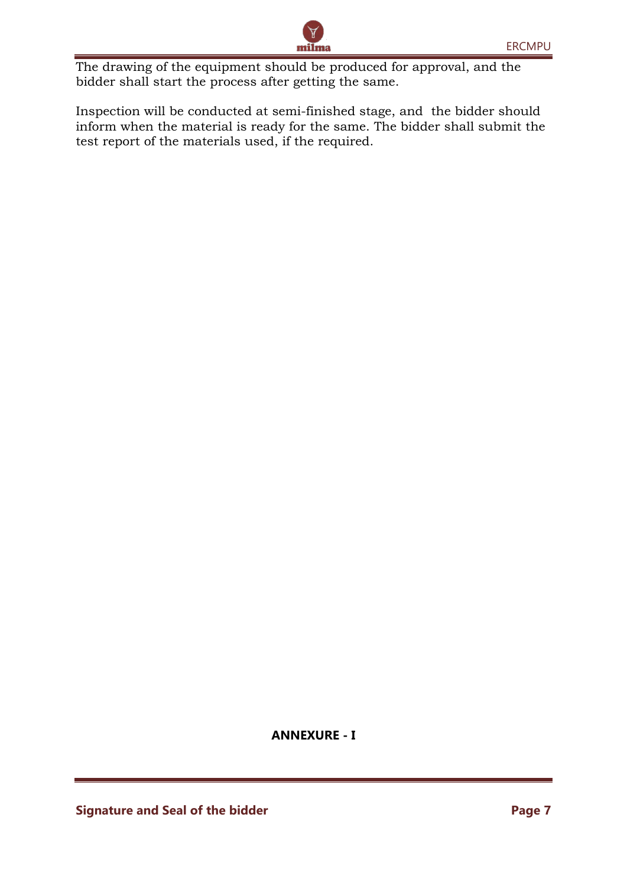The drawing of the equipment should be produced for approval, and the bidder shall start the process after getting the same.

Inspection will be conducted at semi-finished stage, and the bidder should inform when the material is ready for the same. The bidder shall submit the test report of the materials used, if the required.

milma

**ANNEXURE - I**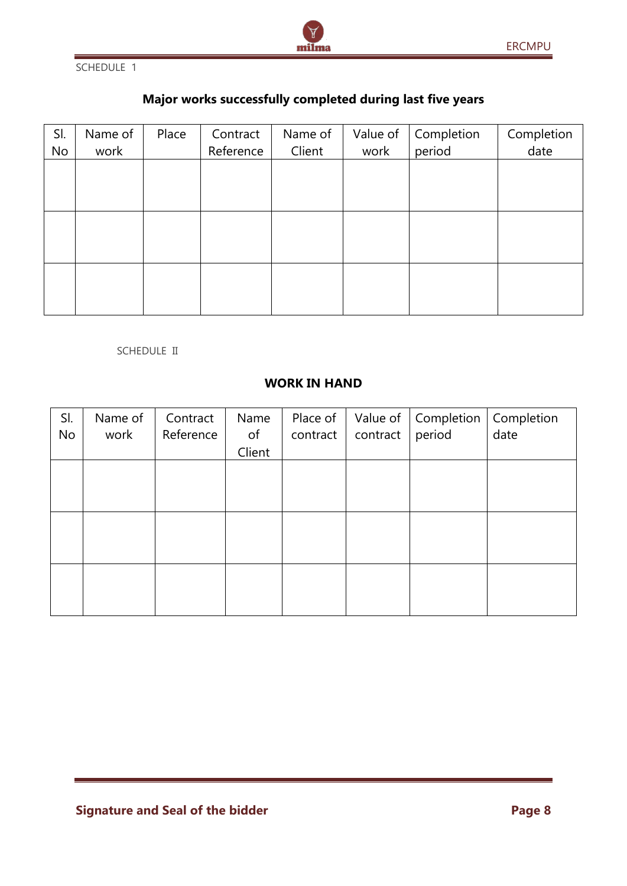

SCHEDULE 1

# **Major works successfully completed during last five years**

| SI. | Name of | Place | Contract  | Name of | Value of | Completion | Completion |
|-----|---------|-------|-----------|---------|----------|------------|------------|
| No  | work    |       | Reference | Client  | work     | period     | date       |
|     |         |       |           |         |          |            |            |
|     |         |       |           |         |          |            |            |
|     |         |       |           |         |          |            |            |
|     |         |       |           |         |          |            |            |
|     |         |       |           |         |          |            |            |
|     |         |       |           |         |          |            |            |
|     |         |       |           |         |          |            |            |
|     |         |       |           |         |          |            |            |
|     |         |       |           |         |          |            |            |

#### SCHEDULE II

## **WORK IN HAND**

| SI.<br>No | Name of<br>work | Contract<br>Reference | Name<br>of | Place of<br>contract | Value of<br>contract | Completion<br>period | Completion<br>date |
|-----------|-----------------|-----------------------|------------|----------------------|----------------------|----------------------|--------------------|
|           |                 |                       | Client     |                      |                      |                      |                    |
|           |                 |                       |            |                      |                      |                      |                    |
|           |                 |                       |            |                      |                      |                      |                    |
|           |                 |                       |            |                      |                      |                      |                    |
|           |                 |                       |            |                      |                      |                      |                    |
|           |                 |                       |            |                      |                      |                      |                    |
|           |                 |                       |            |                      |                      |                      |                    |
|           |                 |                       |            |                      |                      |                      |                    |
|           |                 |                       |            |                      |                      |                      |                    |
|           |                 |                       |            |                      |                      |                      |                    |

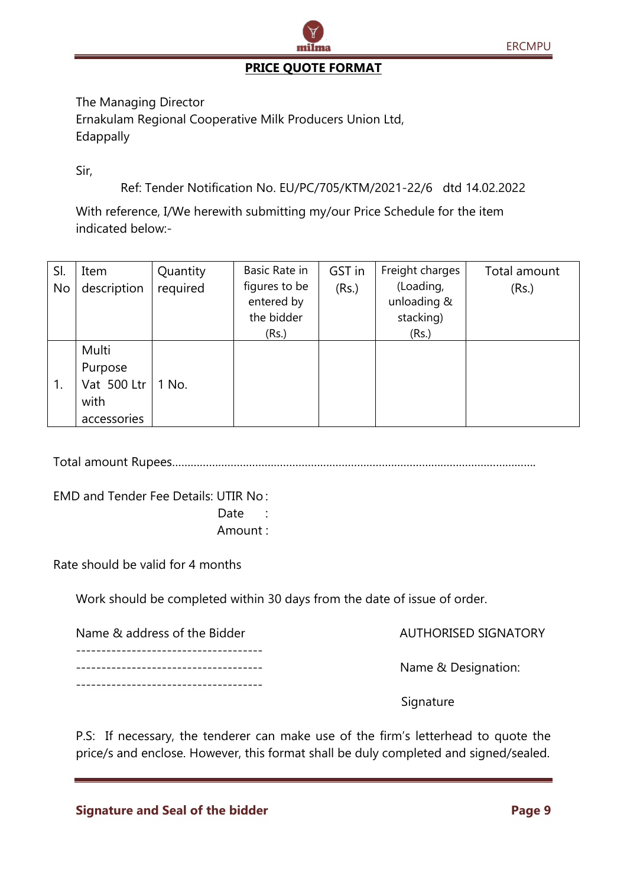

## **PRICE QUOTE FORMAT**

The Managing Director Ernakulam Regional Cooperative Milk Producers Union Ltd, Edappally

Sir,

Ref: Tender Notification No. EU/PC/705/KTM/2021-22/6 dtd 14.02.2022

With reference, I/We herewith submitting my/our Price Schedule for the item indicated below:-

| SI.<br>No | Item<br>description                     | Quantity<br>required | Basic Rate in<br>figures to be<br>entered by<br>the bidder<br>(Rs.) | GST in<br>(Rs.) | Freight charges<br>(Loading,<br>unloading &<br>stacking)<br>(Rs.) | Total amount<br>(Rs.) |
|-----------|-----------------------------------------|----------------------|---------------------------------------------------------------------|-----------------|-------------------------------------------------------------------|-----------------------|
| 1.        | Multi<br>Purpose<br>Vat 500 Ltr<br>with | 1 No.                |                                                                     |                 |                                                                   |                       |
|           | accessories                             |                      |                                                                     |                 |                                                                   |                       |

Total amount Rupees……………………………………………………………………………………………………….

EMD and Tender Fee Details: UTIR No :

Date :

Amount :

Rate should be valid for 4 months

Work should be completed within 30 days from the date of issue of order.

| Name & address of the Bidder          | <b>AUTHORISED SIGNATORY</b> |
|---------------------------------------|-----------------------------|
| ------------------------------------- | Name & Designation:         |
| ------------------------------------- | Signature                   |

P.S: If necessary, the tenderer can make use of the firm's letterhead to quote the price/s and enclose. However, this format shall be duly completed and signed/sealed.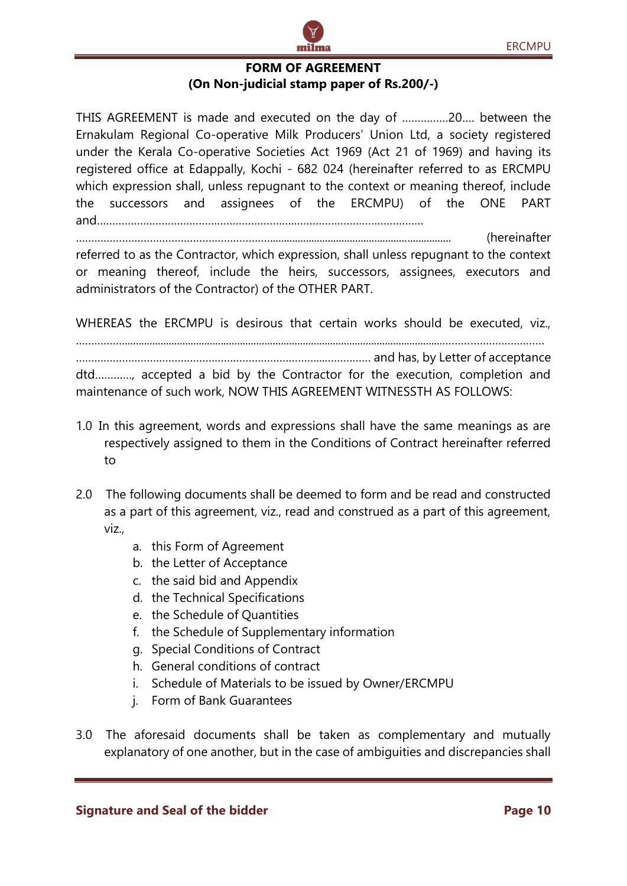

THIS AGREEMENT is made and executed on the day of ……………20…. between the Ernakulam Regional Co-operative Milk Producers' Union Ltd, a society registered under the Kerala Co-operative Societies Act 1969 (Act 21 of 1969) and having its registered office at Edappally, Kochi - 682 024 (hereinafter referred to as ERCMPU which expression shall, unless repugnant to the context or meaning thereof, include the successors and assignees of the ERCMPU) of the ONE PART and……………………………………………………….……………………………………

……………………………………………………….................................................................. (hereinafter referred to as the Contractor, which expression, shall unless repugnant to the context or meaning thereof, include the heirs, successors, assignees, executors and administrators of the Contractor) of the OTHER PART.

WHEREAS the ERCMPU is desirous that certain works should be executed, viz.,

…………….....................................................................................................................……………………………

……………………………………………………………………...…………… and has, by Letter of acceptance dtd…………, accepted a bid by the Contractor for the execution, completion and maintenance of such work, NOW THIS AGREEMENT WITNESSTH AS FOLLOWS:

- 1.0 In this agreement, words and expressions shall have the same meanings as are respectively assigned to them in the Conditions of Contract hereinafter referred to
- 2.0 The following documents shall be deemed to form and be read and constructed as a part of this agreement, viz., read and construed as a part of this agreement, viz.,
	- a. this Form of Agreement
	- b. the Letter of Acceptance
	- c. the said bid and Appendix
	- d. the Technical Specifications
	- e. the Schedule of Quantities
	- f. the Schedule of Supplementary information
	- g. Special Conditions of Contract
	- h. General conditions of contract
	- i. Schedule of Materials to be issued by Owner/ERCMPU
	- j. Form of Bank Guarantees
- 3.0 The aforesaid documents shall be taken as complementary and mutually explanatory of one another, but in the case of ambiguities and discrepancies shall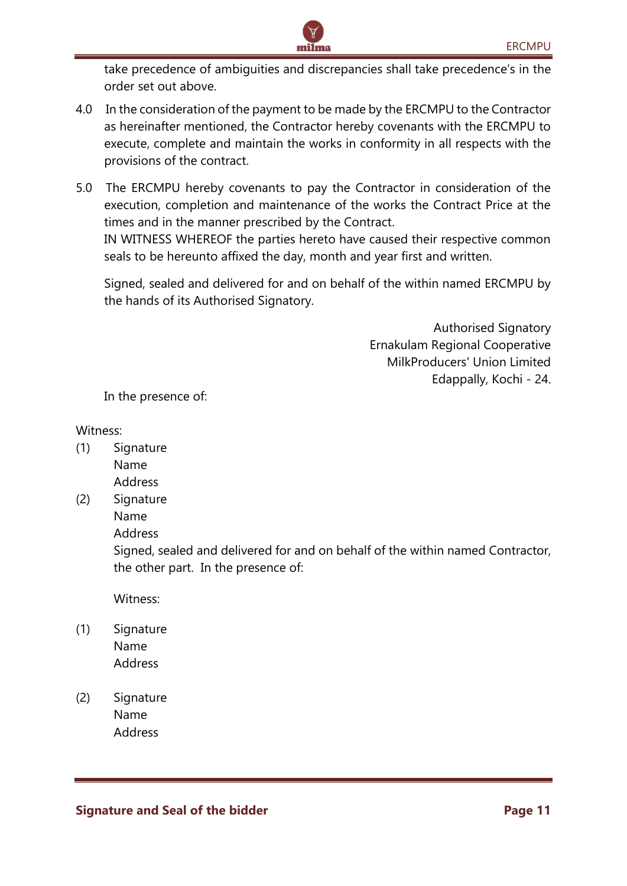take precedence of ambiguities and discrepancies shall take precedence's in the order set out above.

4.0 In the consideration of the payment to be made by the ERCMPU to the Contractor as hereinafter mentioned, the Contractor hereby covenants with the ERCMPU to execute, complete and maintain the works in conformity in all respects with the provisions of the contract.

milma

5.0 The ERCMPU hereby covenants to pay the Contractor in consideration of the execution, completion and maintenance of the works the Contract Price at the times and in the manner prescribed by the Contract.

IN WITNESS WHEREOF the parties hereto have caused their respective common seals to be hereunto affixed the day, month and year first and written.

Signed, sealed and delivered for and on behalf of the within named ERCMPU by the hands of its Authorised Signatory.

> Authorised Signatory Ernakulam Regional Cooperative MilkProducers' Union Limited Edappally, Kochi - 24.

In the presence of:

#### Witness:

- (1) Signature Name Address
- (2) Signature
	- Name

Address

Signed, sealed and delivered for and on behalf of the within named Contractor, the other part. In the presence of:

Witness:

- (1) Signature Name Address
- (2) Signature Name Address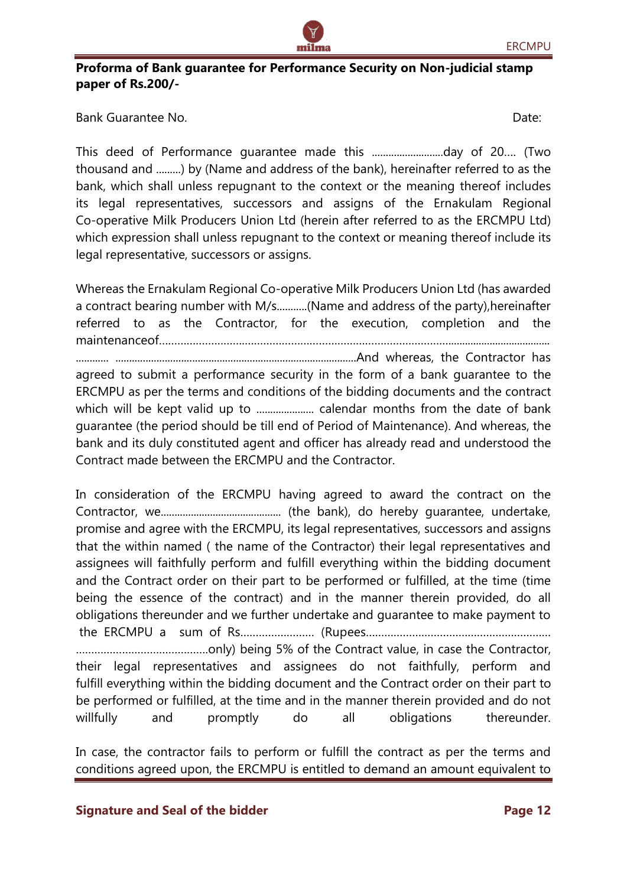## **Proforma of Bank guarantee for Performance Security on Non-judicial stamp paper of Rs.200/-**

milma

Bank Guarantee No. Date:

This deed of Performance guarantee made this ..........................day of 20…. (Two thousand and .........) by (Name and address of the bank), hereinafter referred to as the bank, which shall unless repugnant to the context or the meaning thereof includes its legal representatives, successors and assigns of the Ernakulam Regional Co-operative Milk Producers Union Ltd (herein after referred to as the ERCMPU Ltd) which expression shall unless repugnant to the context or meaning thereof include its legal representative, successors or assigns.

Whereas the Ernakulam Regional Co-operative Milk Producers Union Ltd (has awarded a contract bearing number with M/s............(Name and address of the party), hereinafter referred to as the Contractor, for the execution, completion and the maintenanceof……………………….…………………………………………………………..................................... ............ ........................................................................................And whereas, the Contractor has agreed to submit a performance security in the form of a bank guarantee to the ERCMPU as per the terms and conditions of the bidding documents and the contract which will be kept valid up to ..................... calendar months from the date of bank guarantee (the period should be till end of Period of Maintenance). And whereas, the bank and its duly constituted agent and officer has already read and understood the Contract made between the ERCMPU and the Contractor.

In consideration of the ERCMPU having agreed to award the contract on the Contractor, we............................................ (the bank), do hereby guarantee, undertake, promise and agree with the ERCMPU, its legal representatives, successors and assigns that the within named ( the name of the Contractor) their legal representatives and assignees will faithfully perform and fulfill everything within the bidding document and the Contract order on their part to be performed or fulfilled, at the time (time being the essence of the contract) and in the manner therein provided, do all obligations thereunder and we further undertake and guarantee to make payment to the ERCMPU a sum of Rs…………………… (Rupees…………………………………………………… …………………………………….only) being 5% of the Contract value, in case the Contractor, their legal representatives and assignees do not faithfully, perform and fulfill everything within the bidding document and the Contract order on their part to be performed or fulfilled, at the time and in the manner therein provided and do not willfully and promptly do all obligations thereunder.

In case, the contractor fails to perform or fulfill the contract as per the terms and conditions agreed upon, the ERCMPU is entitled to demand an amount equivalent to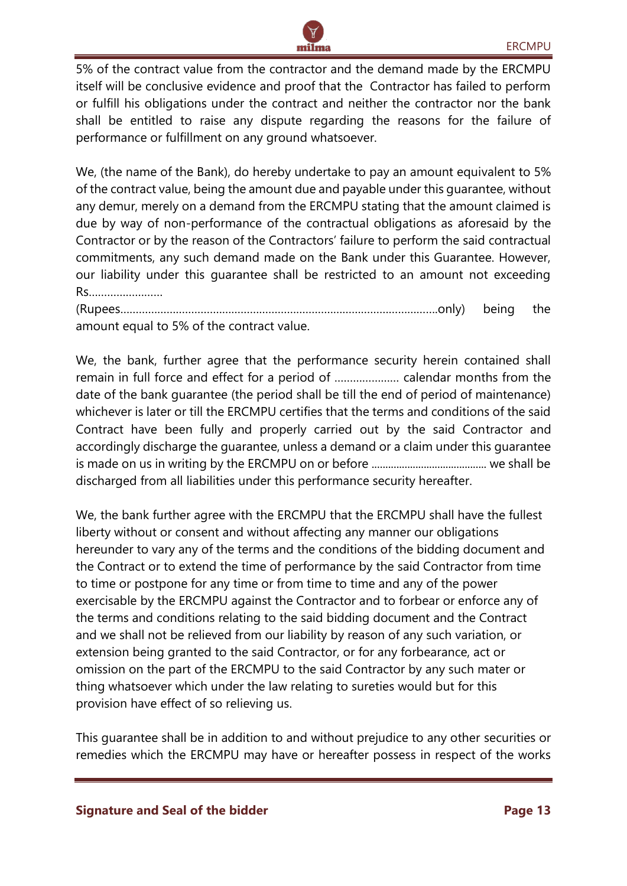

5% of the contract value from the contractor and the demand made by the ERCMPU itself will be conclusive evidence and proof that the Contractor has failed to perform or fulfill his obligations under the contract and neither the contractor nor the bank shall be entitled to raise any dispute regarding the reasons for the failure of performance or fulfillment on any ground whatsoever.

We, (the name of the Bank), do hereby undertake to pay an amount equivalent to 5% of the contract value, being the amount due and payable under this guarantee, without any demur, merely on a demand from the ERCMPU stating that the amount claimed is due by way of non-performance of the contractual obligations as aforesaid by the Contractor or by the reason of the Contractors' failure to perform the said contractual commitments, any such demand made on the Bank under this Guarantee. However, our liability under this guarantee shall be restricted to an amount not exceeding Rs……………………

(Rupees………………………………………………………………………………………….only) being the amount equal to 5% of the contract value.

We, the bank, further agree that the performance security herein contained shall remain in full force and effect for a period of ………………… calendar months from the date of the bank guarantee (the period shall be till the end of period of maintenance) whichever is later or till the ERCMPU certifies that the terms and conditions of the said Contract have been fully and properly carried out by the said Contractor and accordingly discharge the guarantee, unless a demand or a claim under this guarantee is made on us in writing by the ERCMPU on or before .......................................... we shall be discharged from all liabilities under this performance security hereafter.

We, the bank further agree with the ERCMPU that the ERCMPU shall have the fullest liberty without or consent and without affecting any manner our obligations hereunder to vary any of the terms and the conditions of the bidding document and the Contract or to extend the time of performance by the said Contractor from time to time or postpone for any time or from time to time and any of the power exercisable by the ERCMPU against the Contractor and to forbear or enforce any of the terms and conditions relating to the said bidding document and the Contract and we shall not be relieved from our liability by reason of any such variation, or extension being granted to the said Contractor, or for any forbearance, act or omission on the part of the ERCMPU to the said Contractor by any such mater or thing whatsoever which under the law relating to sureties would but for this provision have effect of so relieving us.

This guarantee shall be in addition to and without prejudice to any other securities or remedies which the ERCMPU may have or hereafter possess in respect of the works